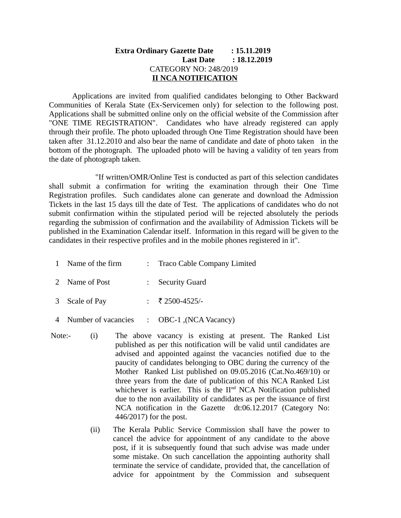## **Extra Ordinary Gazette Date : 15.11.2019 Last Date : 18.12.2019** CATEGORY NO: 248/2019  **II NCA NOTIFICATION**

Applications are invited from qualified candidates belonging to Other Backward Communities of Kerala State (Ex-Servicemen only) for selection to the following post. Applications shall be submitted online only on the official website of the Commission after "ONE TIME REGISTRATION". Candidates who have already registered can apply through their profile. The photo uploaded through One Time Registration should have been taken after 31.12.2010 and also bear the name of candidate and date of photo taken in the bottom of the photograph. The uploaded photo will be having a validity of ten years from the date of photograph taken.

"If written/OMR/Online Test is conducted as part of this selection candidates shall submit a confirmation for writing the examination through their One Time Registration profiles. Such candidates alone can generate and download the Admission Tickets in the last 15 days till the date of Test. The applications of candidates who do not submit confirmation within the stipulated period will be rejected absolutely the periods regarding the submission of confirmation and the availability of Admission Tickets will be published in the Examination Calendar itself. Information in this regard will be given to the candidates in their respective profiles and in the mobile phones registered in it".

- 1 Name of the firm : Traco Cable Company Limited
- 2 Name of Post : Security Guard
- 3 Scale of Pay : ₹2500-4525/-
- 4 Number of vacancies : OBC-1, (NCA Vacancy)
- Note:- (i) The above vacancy is existing at present. The Ranked List published as per this notification will be valid until candidates are advised and appointed against the vacancies notified due to the paucity of candidates belonging to OBC during the currency of the Mother Ranked List published on 09.05.2016 (Cat.No.469/10) or three years from the date of publication of this NCA Ranked List whichever is earlier. This is the  $II<sup>nd</sup> NCA$  Notification published due to the non availability of candidates as per the issuance of first NCA notification in the Gazette dt:06.12.2017 (Category No: 446/2017) for the post.
	- (ii) The Kerala Public Service Commission shall have the power to cancel the advice for appointment of any candidate to the above post, if it is subsequently found that such advise was made under some mistake. On such cancellation the appointing authority shall terminate the service of candidate, provided that, the cancellation of advice for appointment by the Commission and subsequent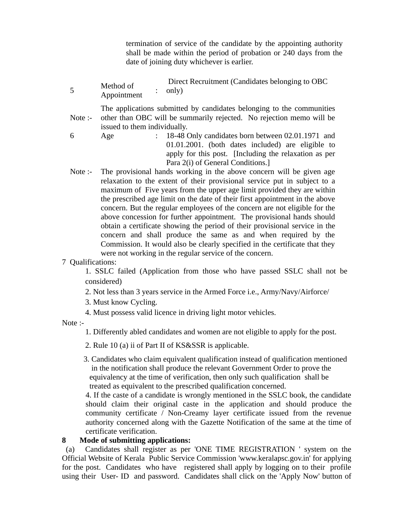termination of service of the candidate by the appointing authority shall be made within the period of probation or 240 days from the date of joining duty whichever is earlier.

5 Method of Appointment : Direct Recruitment (Candidates belonging to OBC only)

Note :- The applications submitted by candidates belonging to the communities other than OBC will be summarily rejected. No rejection memo will be issued to them individually.

- 6 Age : 18-48 Only candidates born between 02.01.1971 and 01.01.2001. (both dates included) are eligible to apply for this post. [Including the relaxation as per Para 2(i) of General Conditions.]
- Note :- The provisional hands working in the above concern will be given age relaxation to the extent of their provisional service put in subject to a maximum of Five years from the upper age limit provided they are within the prescribed age limit on the date of their first appointment in the above concern. But the regular employees of the concern are not eligible for the above concession for further appointment. The provisional hands should obtain a certificate showing the period of their provisional service in the concern and shall produce the same as and when required by the Commission. It would also be clearly specified in the certificate that they were not working in the regular service of the concern.
- 7 Qualifications:

1. SSLC failed (Application from those who have passed SSLC shall not be considered)

- 2. Not less than 3 years service in the Armed Force i.e., Army/Navy/Airforce/
- 3. Must know Cycling.
- 4. Must possess valid licence in driving light motor vehicles.

Note :-

1. Differently abled candidates and women are not eligible to apply for the post.

- 2. Rule 10 (a) ii of Part II of KS&SSR is applicable.
- 3. Candidates who claim equivalent qualification instead of qualification mentioned in the notification shall produce the relevant Government Order to prove the equivalency at the time of verification, then only such qualification shall be treated as equivalent to the prescribed qualification concerned.

4. If the caste of a candidate is wrongly mentioned in the SSLC book, the candidate should claim their original caste in the application and should produce the community certificate / Non-Creamy layer certificate issued from the revenue authority concerned along with the Gazette Notification of the same at the time of certificate verification.

## **8 Mode of submitting applications:**

 (a) Candidates shall register as per 'ONE TIME REGISTRATION ' system on the Official Website of Kerala Public Service Commission 'www.keralapsc.gov.in' for applying for the post. Candidates who have registered shall apply by logging on to their profile using their User- ID and password. Candidates shall click on the 'Apply Now' button of